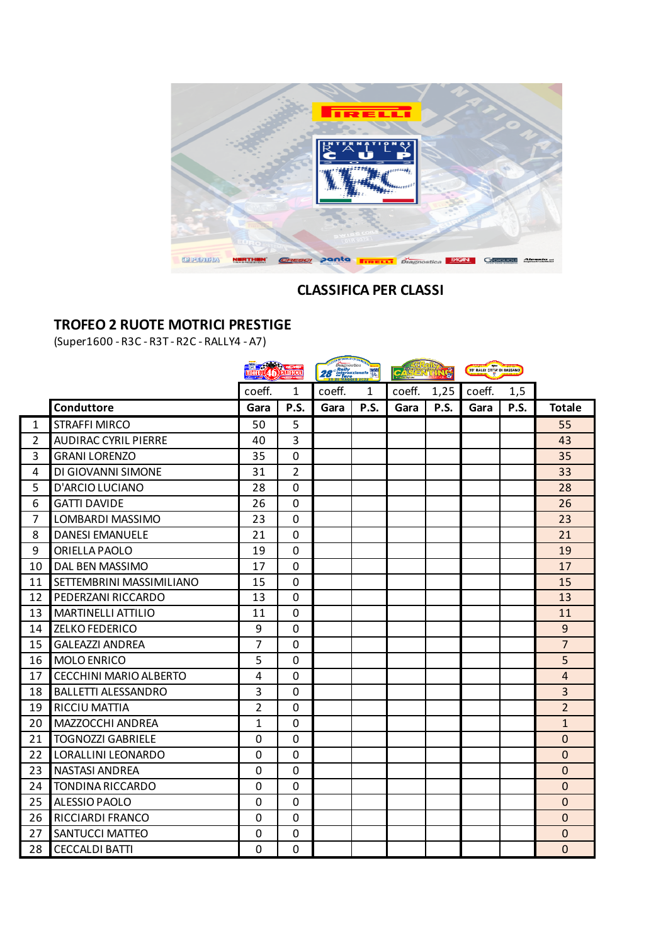

# **CLASSIFICA PER CLASSI**

# **TROFEO 2 RUOTE MOTRICI PRESTIGE**

(Super1600 - R3C - R3T - R2C - RALLY4 - A7)

|                |                               | <b>EXECUTIVE CONTRACTOR</b> |              | Diagnostica<br>28 Hally<br>28 Haternazionale Way |      | $ c_{43} $<br>C |      | 39' RALLY CITTA' DI BASSAND |      |                |
|----------------|-------------------------------|-----------------------------|--------------|--------------------------------------------------|------|-----------------|------|-----------------------------|------|----------------|
|                |                               | coeff.                      | 1            | coeff.                                           | 1    | coeff.          | 1,25 | coeff.                      | 1,5  |                |
|                | <b>Conduttore</b>             | Gara                        | P.S.         | Gara                                             | P.S. | Gara            | P.S. | Gara                        | P.S. | <b>Totale</b>  |
| $\mathbf{1}$   | <b>STRAFFI MIRCO</b>          | 50                          | 5            |                                                  |      |                 |      |                             |      | 55             |
| $\overline{2}$ | <b>AUDIRAC CYRIL PIERRE</b>   | 40                          | 3            |                                                  |      |                 |      |                             |      | 43             |
| 3              | <b>GRANI LORENZO</b>          | 35                          | 0            |                                                  |      |                 |      |                             |      | 35             |
| 4              | DI GIOVANNI SIMONE            | 31                          | 2            |                                                  |      |                 |      |                             |      | 33             |
| 5              | D'ARCIO LUCIANO               | 28                          | 0            |                                                  |      |                 |      |                             |      | 28             |
| 6              | <b>GATTI DAVIDE</b>           | 26                          | $\mathbf 0$  |                                                  |      |                 |      |                             |      | 26             |
| 7              | LOMBARDI MASSIMO              | 23                          | 0            |                                                  |      |                 |      |                             |      | 23             |
| 8              | <b>DANESI EMANUELE</b>        | 21                          | $\mathbf 0$  |                                                  |      |                 |      |                             |      | 21             |
| 9              | ORIELLA PAOLO                 | 19                          | 0            |                                                  |      |                 |      |                             |      | 19             |
| 10             | DAL BEN MASSIMO               | 17                          | $\mathbf 0$  |                                                  |      |                 |      |                             |      | 17             |
| 11             | SETTEMBRINI MASSIMILIANO      | 15                          | $\Omega$     |                                                  |      |                 |      |                             |      | 15             |
| 12             | PEDERZANI RICCARDO            | 13                          | $\mathbf 0$  |                                                  |      |                 |      |                             |      | 13             |
| 13             | <b>MARTINELLI ATTILIO</b>     | 11                          | 0            |                                                  |      |                 |      |                             |      | 11             |
| 14             | <b>ZELKO FEDERICO</b>         | 9                           | $\mathbf 0$  |                                                  |      |                 |      |                             |      | 9              |
| 15             | <b>GALEAZZI ANDREA</b>        | 7                           | 0            |                                                  |      |                 |      |                             |      | $\overline{7}$ |
| 16             | <b>MOLO ENRICO</b>            | 5                           | $\mathbf 0$  |                                                  |      |                 |      |                             |      | 5              |
| 17             | <b>CECCHINI MARIO ALBERTO</b> | 4                           | $\mathbf 0$  |                                                  |      |                 |      |                             |      | $\overline{4}$ |
| 18             | <b>BALLETTI ALESSANDRO</b>    | 3                           | 0            |                                                  |      |                 |      |                             |      | 3              |
| 19             | <b>RICCIU MATTIA</b>          | 2                           | $\mathbf{0}$ |                                                  |      |                 |      |                             |      | $\overline{2}$ |
| 20             | MAZZOCCHI ANDREA              | 1                           | 0            |                                                  |      |                 |      |                             |      | $\mathbf{1}$   |
| 21             | <b>TOGNOZZI GABRIELE</b>      | $\mathbf 0$                 | 0            |                                                  |      |                 |      |                             |      | 0              |
| 22             | LORALLINI LEONARDO            | 0                           | $\mathbf 0$  |                                                  |      |                 |      |                             |      | $\mathbf{0}$   |
| 23             | <b>NASTASI ANDREA</b>         | $\mathbf 0$                 | 0            |                                                  |      |                 |      |                             |      | $\overline{0}$ |
| 24             | <b>TONDINA RICCARDO</b>       | $\Omega$                    | 0            |                                                  |      |                 |      |                             |      | $\mathbf 0$    |
| 25             | ALESSIO PAOLO                 | 0                           | $\mathbf 0$  |                                                  |      |                 |      |                             |      | $\Omega$       |
| 26             | RICCIARDI FRANCO              | $\mathbf 0$                 | 0            |                                                  |      |                 |      |                             |      | $\mathbf{0}$   |
| 27             | SANTUCCI MATTEO               | $\Omega$                    | 0            |                                                  |      |                 |      |                             |      | 0              |
| 28             | <b>CECCALDI BATTI</b>         | $\Omega$                    | 0            |                                                  |      |                 |      |                             |      | 0              |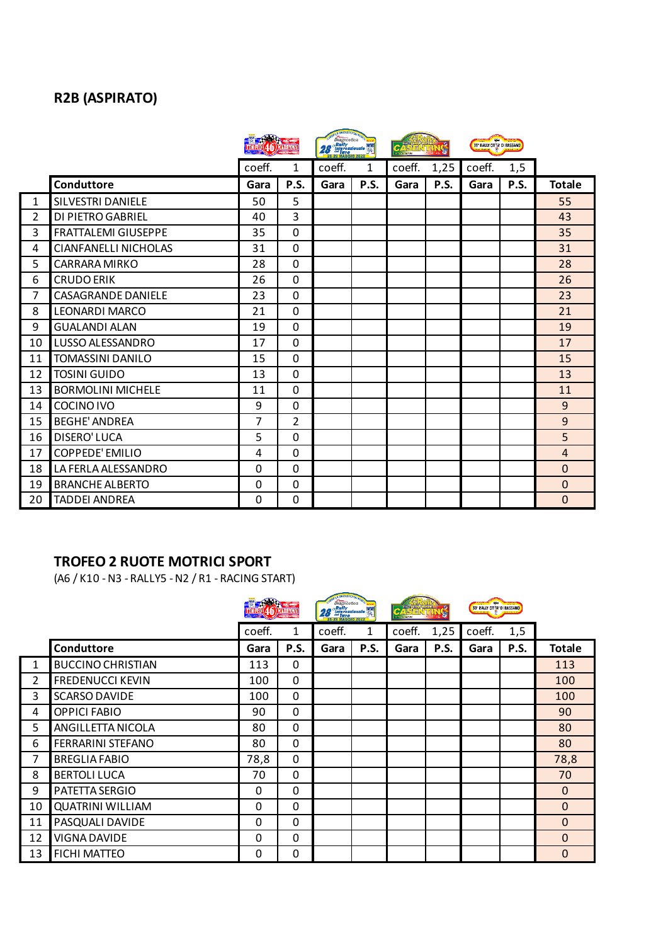# **R2B (ASPIRATO)**

|              |                             | <b>The Company's</b> |                | <b>STATISTICALS IN THE STATISTICS</b><br><i>Po Bally</i><br><b>28</b> <i>Stally</i><br><i>28 <i>S Internationals</i><br/> <i>Ally</i><br/> <i>Ally</i><br/> <i>Ally</i><br/> <i>Ally</i><br/> <i>Ally</i></i> |      | Đ<br><b>CANON CANON</b> |      | 39 RALLY CITY DI BASSANO |      |                |
|--------------|-----------------------------|----------------------|----------------|---------------------------------------------------------------------------------------------------------------------------------------------------------------------------------------------------------------|------|-------------------------|------|--------------------------|------|----------------|
|              |                             | coeff.               | 1              | coeff.                                                                                                                                                                                                        | 1    | coeff.                  | 1,25 | coeff.                   | 1,5  |                |
|              | Conduttore                  | Gara                 | P.S.           | Gara                                                                                                                                                                                                          | P.S. | Gara                    | P.S. | Gara                     | P.S. | <b>Totale</b>  |
| $\mathbf{1}$ | <b>SILVESTRI DANIELE</b>    | 50                   | 5              |                                                                                                                                                                                                               |      |                         |      |                          |      | 55             |
| 2            | DI PIETRO GABRIEL           | 40                   | 3              |                                                                                                                                                                                                               |      |                         |      |                          |      | 43             |
| 3            | <b>FRATTALEMI GIUSEPPE</b>  | 35                   | $\overline{0}$ |                                                                                                                                                                                                               |      |                         |      |                          |      | 35             |
| 4            | <b>CIANFANELLI NICHOLAS</b> | 31                   | 0              |                                                                                                                                                                                                               |      |                         |      |                          |      | 31             |
| 5            | <b>CARRARA MIRKO</b>        | 28                   | 0              |                                                                                                                                                                                                               |      |                         |      |                          |      | 28             |
| 6            | <b>CRUDO ERIK</b>           | 26                   | 0              |                                                                                                                                                                                                               |      |                         |      |                          |      | 26             |
| 7            | <b>CASAGRANDE DANIELE</b>   | 23                   | 0              |                                                                                                                                                                                                               |      |                         |      |                          |      | 23             |
| 8            | <b>LEONARDI MARCO</b>       | 21                   | 0              |                                                                                                                                                                                                               |      |                         |      |                          |      | 21             |
| 9            | <b>GUALANDI ALAN</b>        | 19                   | 0              |                                                                                                                                                                                                               |      |                         |      |                          |      | 19             |
| 10           | LUSSO ALESSANDRO            | 17                   | 0              |                                                                                                                                                                                                               |      |                         |      |                          |      | 17             |
| 11           | <b>TOMASSINI DANILO</b>     | 15                   | 0              |                                                                                                                                                                                                               |      |                         |      |                          |      | 15             |
| 12           | <b>TOSINI GUIDO</b>         | 13                   | 0              |                                                                                                                                                                                                               |      |                         |      |                          |      | 13             |
| 13           | <b>BORMOLINI MICHELE</b>    | 11                   | 0              |                                                                                                                                                                                                               |      |                         |      |                          |      | 11             |
| 14           | COCINO IVO                  | 9                    | 0              |                                                                                                                                                                                                               |      |                         |      |                          |      | 9              |
| 15           | <b>BEGHE' ANDREA</b>        | 7                    | $\overline{2}$ |                                                                                                                                                                                                               |      |                         |      |                          |      | 9              |
| 16           | <b>DISERO' LUCA</b>         | 5                    | 0              |                                                                                                                                                                                                               |      |                         |      |                          |      | 5              |
| 17           | COPPEDE' EMILIO             | 4                    | 0              |                                                                                                                                                                                                               |      |                         |      |                          |      | $\overline{4}$ |
| 18           | LA FERLA ALESSANDRO         | $\mathbf{0}$         | 0              |                                                                                                                                                                                                               |      |                         |      |                          |      | $\Omega$       |
| 19           | <b>BRANCHE ALBERTO</b>      | $\mathbf{0}$         | 0              |                                                                                                                                                                                                               |      |                         |      |                          |      | $\mathbf 0$    |
| 20           | <b>TADDEI ANDREA</b>        | 0                    | 0              |                                                                                                                                                                                                               |      |                         |      |                          |      | $\Omega$       |

# **TROFEO 2 RUOTE MOTRICI SPORT**

(A6 / K10 - N3 - RALLY5 - N2 / R1 - RACING START)

|                |                          |        |             | <b>INGLES DATES SAVE</b><br><b>Diagnostica</b><br>28 Internazionale Water |      | CASE<br><b>CHANGER SHOP</b> |      | 39' RALLY CITTA' DI BASSAND |      |               |
|----------------|--------------------------|--------|-------------|---------------------------------------------------------------------------|------|-----------------------------|------|-----------------------------|------|---------------|
|                |                          | coeff. | coeff.<br>1 |                                                                           | 1    | coeff.                      | 1,25 | coeff.                      | 1,5  |               |
|                | Conduttore               | Gara   | P.S.        | Gara                                                                      | P.S. | Gara                        | P.S. | Gara                        | P.S. | <b>Totale</b> |
| $\mathbf{1}$   | <b>BUCCINO CHRISTIAN</b> | 113    | 0           |                                                                           |      |                             |      |                             |      | 113           |
| $\overline{2}$ | <b>FREDENUCCI KEVIN</b>  | 100    | 0           |                                                                           |      |                             |      |                             |      | 100           |
| 3              | <b>SCARSO DAVIDE</b>     | 100    | 0           |                                                                           |      |                             |      |                             |      | 100           |
| 4              | <b>OPPICI FABIO</b>      | 90     | 0           |                                                                           |      |                             |      |                             |      | 90            |
| 5              | ANGILLETTA NICOLA        | 80     | 0           |                                                                           |      |                             |      |                             |      | 80            |
| 6              | FERRARINI STEFANO        | 80     | 0           |                                                                           |      |                             |      |                             |      | 80            |
| $\overline{7}$ | <b>BREGLIA FABIO</b>     | 78,8   | 0           |                                                                           |      |                             |      |                             |      | 78,8          |
| 8              | <b>BERTOLI LUCA</b>      | 70     | 0           |                                                                           |      |                             |      |                             |      | 70            |
| 9              | PATETTA SERGIO           | 0      | 0           |                                                                           |      |                             |      |                             |      | $\mathbf{0}$  |
| 10             | <b>QUATRINI WILLIAM</b>  | 0      | 0           |                                                                           |      |                             |      |                             |      | $\mathbf 0$   |
| 11             | PASQUALI DAVIDE          | 0      | 0           |                                                                           |      |                             |      |                             |      | $\mathbf{0}$  |
| 12             | VIGNA DAVIDE             | 0      | 0           |                                                                           |      |                             |      |                             |      | $\mathbf 0$   |
| 13             | <b>FICHI MATTEO</b>      | 0      | 0           |                                                                           |      |                             |      |                             |      | $\Omega$      |